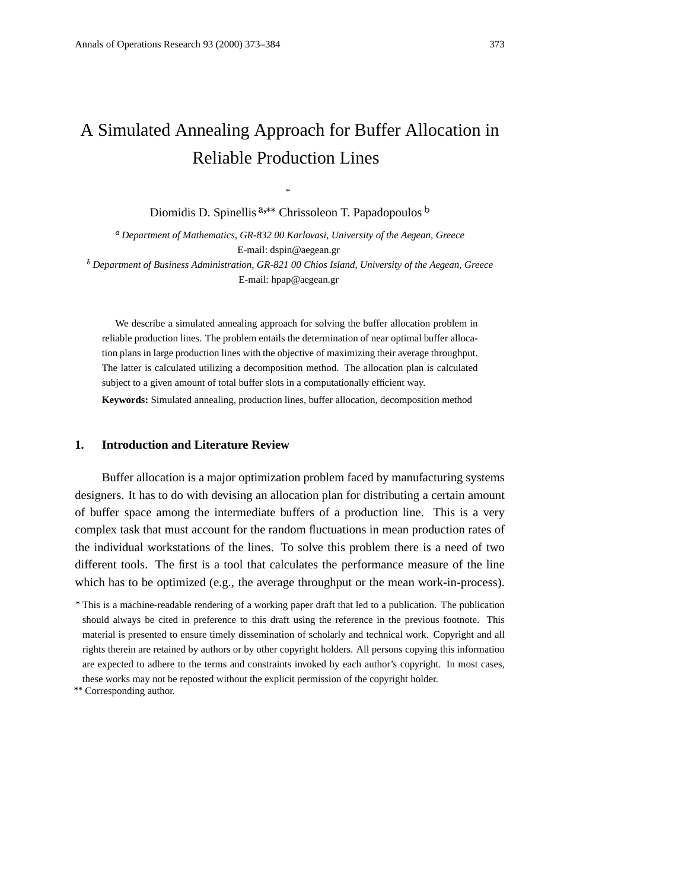# A Simulated Annealing Approach for Buffer Allocation in Reliable Production Lines

\* Diomidis D. Spinellis  $a_{n*}$  Chrissoleon T. Papadopoulos  $b$ 

*Department of Mathematics, GR-832 00 Karlovasi, University of the Aegean, Greece* E-mail: dspin@aegean.gr *Department of Business Administration, GR-821 00 Chios Island, University of the Aegean, Greece*

E-mail: hpap@aegean.gr

We describe a simulated annealing approach for solving the buffer allocation problem in reliable production lines. The problem entails the determination of near optimal buffer allocation plans in large production lines with the objective of maximizing their average throughput. The latter is calculated utilizing a decomposition method. The allocation plan is calculated subject to a given amount of total buffer slots in a computationally efficient way.

**Keywords:** Simulated annealing, production lines, buffer allocation, decomposition method

# **1. Introduction and Literature Review**

Buffer allocation is a major optimization problem faced by manufacturing systems designers. It has to do with devising an allocation plan for distributing a certain amount of buffer space among the intermediate buffers of a production line. This is a very complex task that must account for the random fluctuations in mean production rates of the individual workstations of the lines. To solve this problem there is a need of two different tools. The first is a tool that calculates the performance measure of the line which has to be optimized (e.g., the average throughput or the mean work-in-process).

This is a machine-readable rendering of a working paper draft that led to a publication. The publication should always be cited in preference to this draft using the reference in the previous footnote. This material is presented to ensure timely dissemination of scholarly and technical work. Copyright and all rights therein are retained by authors or by other copyright holders. All persons copying this information are expected to adhere to the terms and constraints invoked by each author's copyright. In most cases, these works may not be reposted without the explicit permission of the copyright holder.

Corresponding author.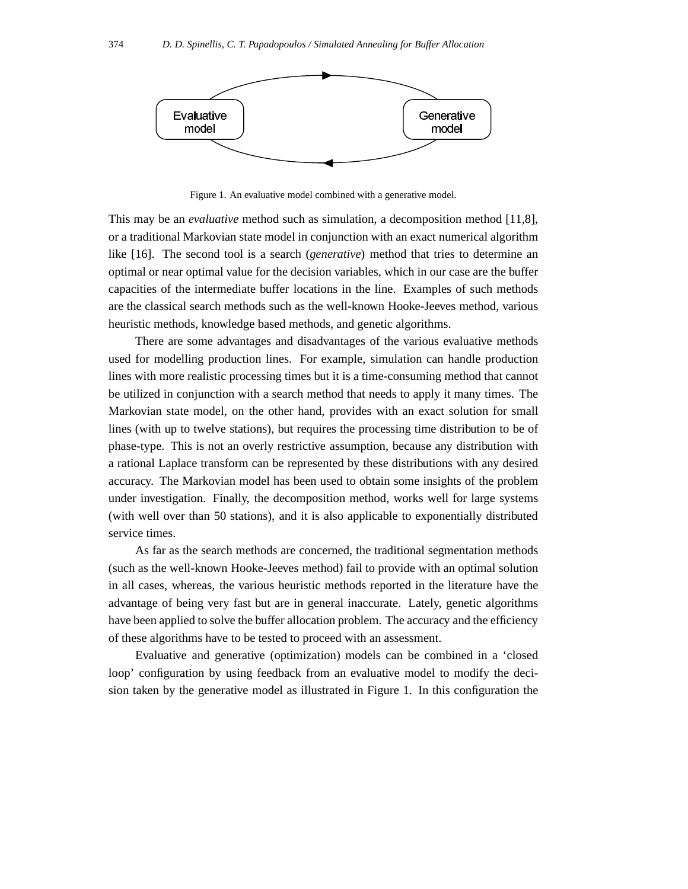

Figure 1. An evaluative model combined with a generative model.

This may be an *evaluative* method such as simulation, a decomposition method [11,8], or a traditional Markovian state model in conjunction with an exact numerical algorithm like [16]. The second tool is a search (*generative*) method that tries to determine an optimal or near optimal value for the decision variables, which in our case are the buffer capacities of the intermediate buffer locations in the line. Examples of such methods are the classical search methods such as the well-known Hooke-Jeeves method, various heuristic methods, knowledge based methods, and genetic algorithms.

There are some advantages and disadvantages of the various evaluative methods used for modelling production lines. For example, simulation can handle production lines with more realistic processing times but it is a time-consuming method that cannot be utilized in conjunction with a search method that needs to apply it many times. The Markovian state model, on the other hand, provides with an exact solution for small lines (with up to twelve stations), but requires the processing time distribution to be of phase-type. This is not an overly restrictive assumption, because any distribution with a rational Laplace transform can be represented by these distributions with any desired accuracy. The Markovian model has been used to obtain some insights of the problem under investigation. Finally, the decomposition method, works well for large systems (with well over than 50 stations), and it is also applicable to exponentially distributed service times.

As far as the search methods are concerned, the traditional segmentation methods (such as the well-known Hooke-Jeeves method) fail to provide with an optimal solution in all cases, whereas, the various heuristic methods reported in the literature have the advantage of being very fast but are in general inaccurate. Lately, genetic algorithms have been applied to solve the buffer allocation problem. The accuracy and the efficiency of these algorithms have to be tested to proceed with an assessment.

Evaluative and generative (optimization) models can be combined in a 'closed loop' configuration by using feedback from an evaluative model to modify the decision taken by the generative model as illustrated in Figure 1. In this configuration the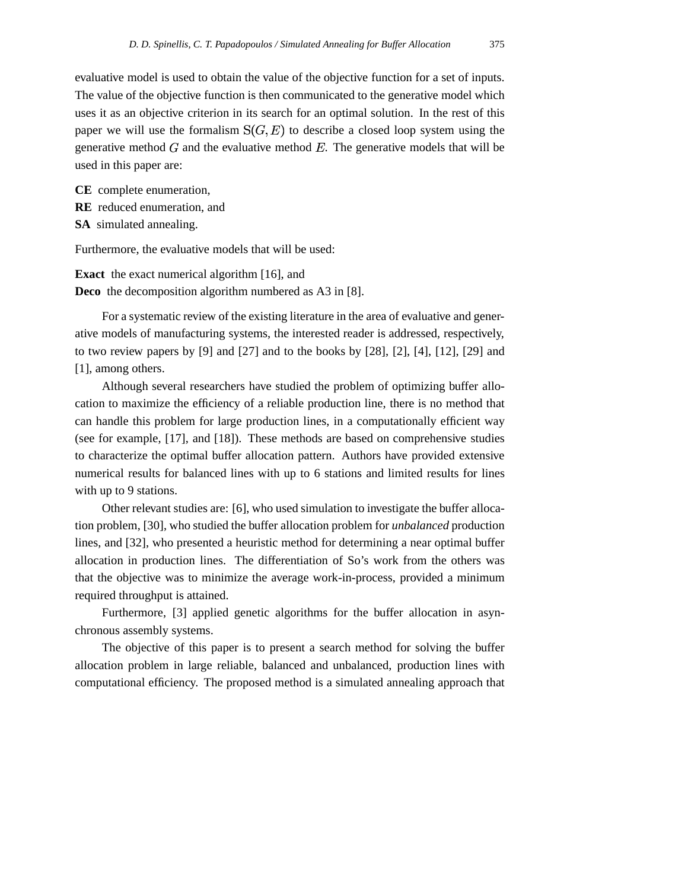evaluative model is used to obtain the value of the objective function for a set of inputs. The value of the objective function is then communicated to the generative model which uses it as an objective criterion in its search for an optimal solution. In the rest of this paper we will use the formalism  $S(G, E)$  to describe a closed loop system using the generative method  $G$  and the evaluative method  $E$ . The generative models that will be used in this paper are:

**CE** complete enumeration, **RE** reduced enumeration, and **SA** simulated annealing.

Furthermore, the evaluative models that will be used:

**Exact** the exact numerical algorithm [16], and **Deco** the decomposition algorithm numbered as A3 in [8].

For a systematic review of the existing literature in the area of evaluative and generative models of manufacturing systems, the interested reader is addressed, respectively, to two review papers by  $[9]$  and  $[27]$  and to the books by  $[28]$ ,  $[2]$ ,  $[4]$ ,  $[12]$ ,  $[29]$  and [1], among others.

Although several researchers have studied the problem of optimizing buffer allocation to maximize the efficiency of a reliable production line, there is no method that can handle this problem for large production lines, in a computationally efficient way (see for example, [17], and [18]). These methods are based on comprehensive studies to characterize the optimal buffer allocation pattern. Authors have provided extensive numerical results for balanced lines with up to 6 stations and limited results for lines with up to 9 stations.

Other relevant studies are: [6], who used simulation to investigate the buffer allocation problem, [30], who studied the buffer allocation problem for *unbalanced* production lines, and [32], who presented a heuristic method for determining a near optimal buffer allocation in production lines. The differentiation of So's work from the others was that the objective was to minimize the average work-in-process, provided a minimum required throughput is attained.

Furthermore, [3] applied genetic algorithms for the buffer allocation in asynchronous assembly systems.

The objective of this paper is to present a search method for solving the buffer allocation problem in large reliable, balanced and unbalanced, production lines with computational efficiency. The proposed method is a simulated annealing approach that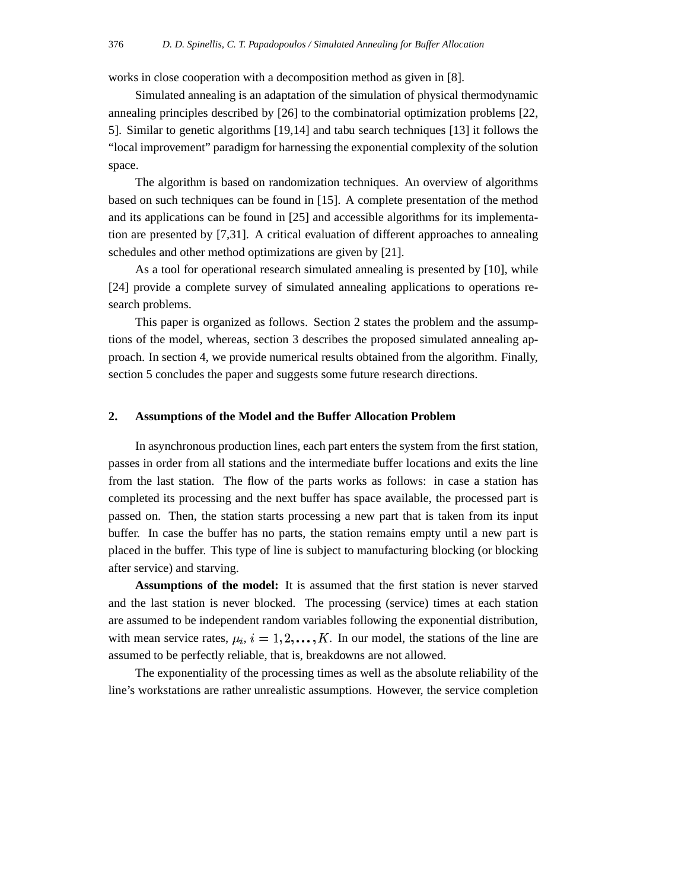works in close cooperation with a decomposition method as given in [8].

Simulated annealing is an adaptation of the simulation of physical thermodynamic annealing principles described by [26] to the combinatorial optimization problems [22, 5]. Similar to genetic algorithms [19,14] and tabu search techniques [13] it follows the "local improvement" paradigm for harnessing the exponential complexity of the solution space.

The algorithm is based on randomization techniques. An overview of algorithms based on such techniques can be found in [15]. A complete presentation of the method and its applications can be found in [25] and accessible algorithms for its implementation are presented by [7,31]. A critical evaluation of different approaches to annealing schedules and other method optimizations are given by [21].

As a tool for operational research simulated annealing is presented by [10], while [24] provide a complete survey of simulated annealing applications to operations research problems.

This paper is organized as follows. Section 2 states the problem and the assumptions of the model, whereas, section 3 describes the proposed simulated annealing approach. In section 4, we provide numerical results obtained from the algorithm. Finally, section 5 concludes the paper and suggests some future research directions.

# **2. Assumptions of the Model and the Buffer Allocation Problem**

In asynchronous production lines, each part enters the system from the first station, passes in order from all stations and the intermediate buffer locations and exits the line from the last station. The flow of the parts works as follows: in case a station has completed its processing and the next buffer has space available, the processed part is passed on. Then, the station starts processing a new part that is taken from its input buffer. In case the buffer has no parts, the station remains empty until a new part is placed in the buffer. This type of line is subject to manufacturing blocking (or blocking after service) and starving.

**Assumptions of the model:** It is assumed that the first station is never starved and the last station is never blocked. The processing (service) times at each station are assumed to be independent random variables following the exponential distribution, with mean service rates,  $\mu_i$ ,  $i = 1, 2, \dots, K$ . In our model, the stations of the line are assumed to be perfectly reliable, that is, breakdowns are not allowed.

The exponentiality of the processing times as well as the absolute reliability of the line's workstations are rather unrealistic assumptions. However, the service completion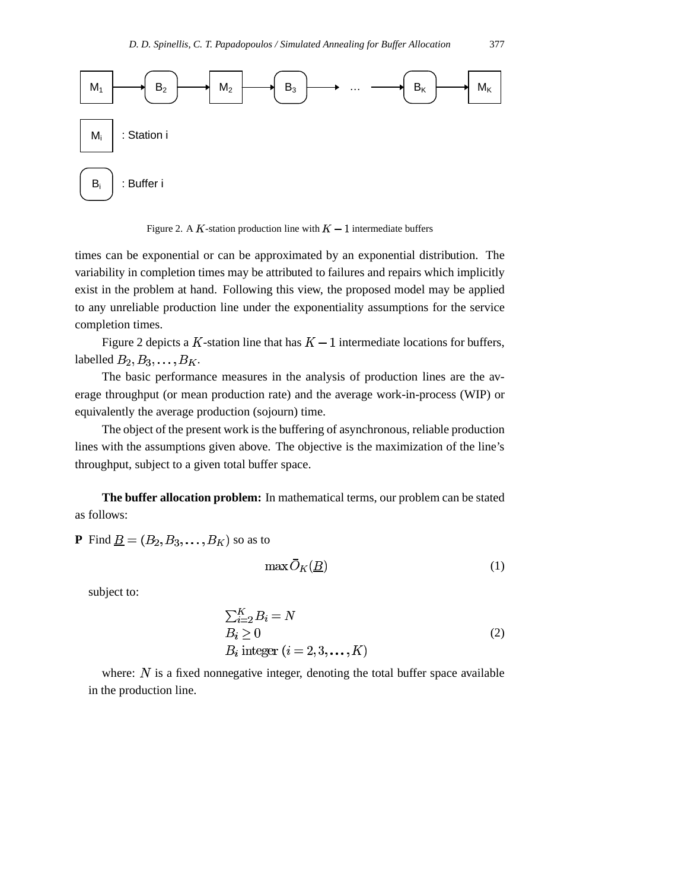

Figure 2. A K-station production line with  $K-1$  intermediate buffers

times can be exponential or can be approximated by an exponential distribution. The variability in completion times may be attributed to failures and repairs which implicitly exist in the problem at hand. Following this view, the proposed model may be applied to any unreliable production line under the exponentiality assumptions for the service completion times.

Figure 2 depicts a K-station line that has  $K-1$  intermediate locations for buffers, labelled  $B_2, B_3, \ldots, B_K$ .

The basic performance measures in the analysis of production lines are the average throughput (or mean production rate) and the average work-in-process (WIP) or equivalently the average production (sojourn) time.

The object of the present work is the buffering of asynchronous, reliable production lines with the assumptions given above. The objective is the maximization of the line's throughput, subject to a given total buffer space.

**The buffer allocation problem:** In mathematical terms, our problem can be stated as follows:

**P** Find  $\underline{B} = (B_2, B_3, \dots, B_K)$  so as to

$$
\max \bar{O}_K(\underline{B})\tag{1}
$$

subject to:

$$
\sum_{i=2}^{K} B_i = N
$$
  
\n
$$
B_i \ge 0
$$
  
\n
$$
B_i \text{ integer } (i = 2, 3, ..., K)
$$
 (2)

where:  $N$  is a fixed nonnegative integer, denoting the total buffer space available in the production line.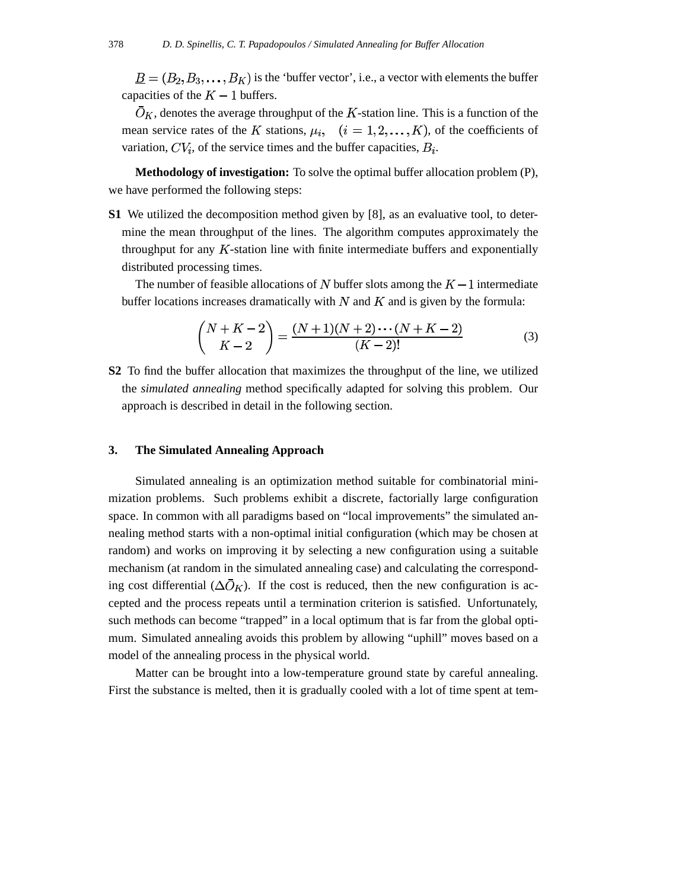$\underline{B}=(B_2,B_3,\ldots,B_K)$  is the 'buffer vector', i.e., a vector with elements the buffer capacities of the  $K-1$  buffers.

 $O<sub>K</sub>$ , denotes the average throughput of the K-station line. This is a function of the mean service rates of the K stations,  $\mu_i$ ,  $(i = 1, 2, \dots, K)$ , of the coefficients of variation,  $CV_i$ , of the service times and the buffer capacities,  $B_i$ .

**Methodology of investigation:** To solve the optimal buffer allocation problem (P), we have performed the following steps:

**S1** We utilized the decomposition method given by [8], as an evaluative tool, to determine the mean throughput of the lines. The algorithm computes approximately the throughput for any  $K$ -station line with finite intermediate buffers and exponentially distributed processing times.

The number of feasible allocations of N buffer slots among the  $K-1$  intermediate buffer locations increases dramatically with  $N$  and  $K$  and is given by the formula:

$$
\binom{N+K-2}{K-2} = \frac{(N+1)(N+2)\cdots(N+K-2)}{(K-2)!}
$$
\n(3)

**S2** To find the buffer allocation that maximizes the throughput of the line, we utilized the *simulated annealing* method specifically adapted for solving this problem. Our approach is described in detail in the following section.

## **3. The Simulated Annealing Approach**

Simulated annealing is an optimization method suitable for combinatorial minimization problems. Such problems exhibit a discrete, factorially large configuration space. In common with all paradigms based on "local improvements" the simulated annealing method starts with a non-optimal initial configuration (which may be chosen at random) and works on improving it by selecting a new configuration using a suitable mechanism (at random in the simulated annealing case) and calculating the corresponding cost differential  $(\Delta \overline{O}_K)$ . If the cost is reduced, then the new configuration is accepted and the process repeats until a termination criterion is satisfied. Unfortunately, such methods can become "trapped" in a local optimum that is far from the global optimum. Simulated annealing avoids this problem by allowing "uphill" moves based on a model of the annealing process in the physical world.

Matter can be brought into a low-temperature ground state by careful annealing. First the substance is melted, then it is gradually cooled with a lot of time spent at tem-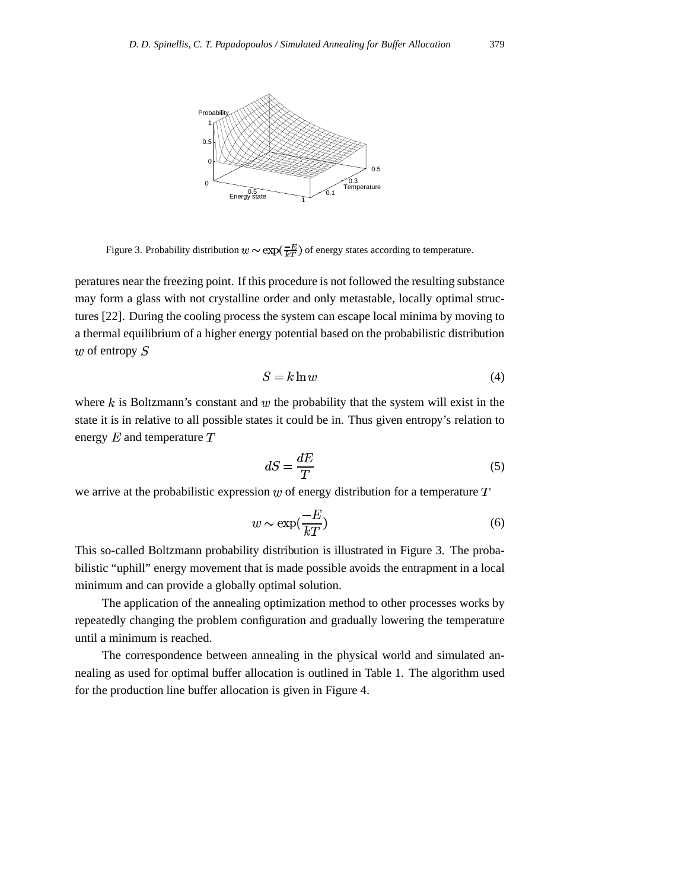

Figure 3. Probability distribution  $w \sim \exp(\frac{-E}{kT})$  of energy states according to temperature.

peratures near the freezing point. If this procedure is not followed the resulting substance may form a glass with not crystalline order and only metastable, locally optimal structures [22]. During the cooling process the system can escape local minima by moving to a thermal equilibrium of a higher energy potential based on the probabilistic distribution  $w$  of entropy  $S$ 

$$
S = k \ln w \tag{4}
$$

where  $k$  is Boltzmann's constant and  $w$  the probability that the system will exist in the state it is in relative to all possible states it could be in. Thus given entropy's relation to energy  $E$  and temperature  $T$ 

$$
dS = \frac{dE}{T} \tag{5}
$$

we arrive at the probabilistic expression  $w$  of energy distribution for a temperature  $T$ 

$$
w \sim \exp(\frac{-E}{kT})\tag{6}
$$

This so-called Boltzmann probability distribution is illustrated in Figure 3. The probabilistic "uphill" energy movement that is made possible avoids the entrapment in a local minimum and can provide a globally optimal solution.

The application of the annealing optimization method to other processes works by repeatedly changing the problem configuration and gradually lowering the temperature until a minimum is reached.

The correspondence between annealing in the physical world and simulated annealing as used for optimal buffer allocation is outlined in Table 1. The algorithm used for the production line buffer allocation is given in Figure 4.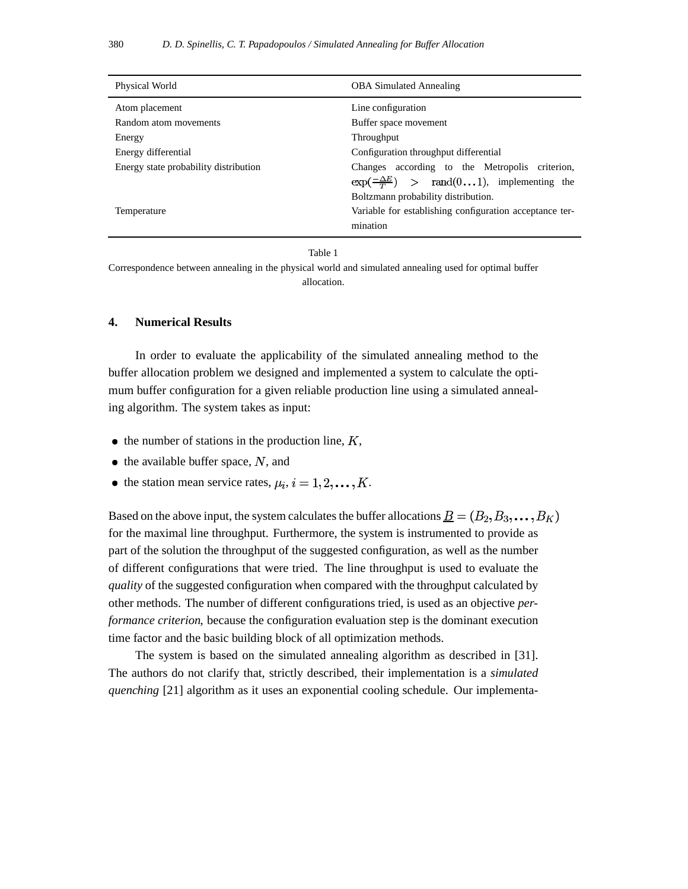| Physical World                        | <b>OBA Simulated Annealing</b>                                                                                                                    |
|---------------------------------------|---------------------------------------------------------------------------------------------------------------------------------------------------|
| Atom placement                        | Line configuration                                                                                                                                |
| Random atom movements                 | Buffer space movement                                                                                                                             |
| Energy                                | Throughput                                                                                                                                        |
| Energy differential                   | Configuration throughput differential                                                                                                             |
| Energy state probability distribution | Changes according to the Metropolis criterion,<br>$\exp(\frac{-\Delta E}{T})$ > rand(01), implementing the<br>Boltzmann probability distribution. |
| Temperature                           | Variable for establishing configuration acceptance ter-<br>mination                                                                               |

#### Table 1

Correspondence between annealing in the physical world and simulated annealing used for optimal buffer allocation.

## **4. Numerical Results**

In order to evaluate the applicability of the simulated annealing method to the buffer allocation problem we designed and implemented a system to calculate the optimum buffer configuration for a given reliable production line using a simulated annealing algorithm. The system takes as input:

- $\bullet$  the number of stations in the production line,  $K$ ,
- $\bullet$  the available buffer space, N, and
- the station mean service rates,  $\mu_i$ ,  $i = 1, 2, \dots, K$ .

Based on the above input, the system calculates the buffer allocations  $\underline{B} = (B_2, B_3, \dots, B_K)$ for the maximal line throughput. Furthermore, the system is instrumented to provide as part of the solution the throughput of the suggested configuration, as well as the number of different configurations that were tried. The line throughput is used to evaluate the *quality* of the suggested configuration when compared with the throughput calculated by other methods. The number of different configurations tried, is used as an objective *performance criterion*, because the configuration evaluation step is the dominant execution time factor and the basic building block of all optimization methods.

The system is based on the simulated annealing algorithm as described in [31]. The authors do not clarify that, strictly described, their implementation is a *simulated quenching* [21] algorithm as it uses an exponential cooling schedule. Our implementa-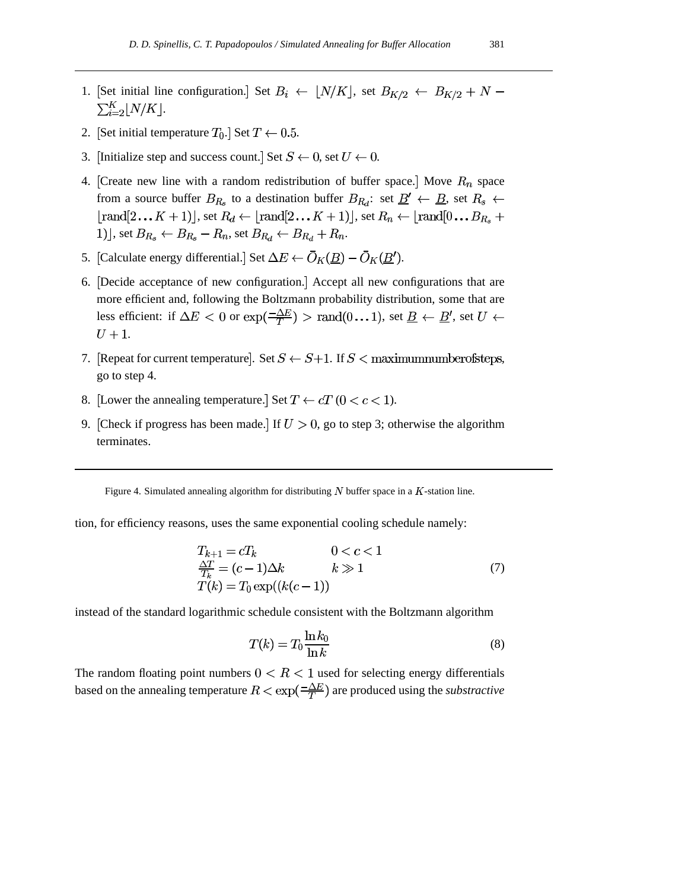- 1. [Set initial line configuration.] Set  $B_i \leftarrow \lfloor N/K \rfloor$ , set  $B_{K/2} \leftarrow B_{K/2} + N \sum_{i=2}^K |N/K|.$
- 2. [Set initial temperature  $T_0$ .] Set  $T \leftarrow 0.5$ .
- 3. [Initialize step and success count.] Set  $S \leftarrow 0$ , set  $U \leftarrow 0$ .
- 4. [Create new line with a random redistribution of buffer space.] Move  $R_n$  space from a source buffer  $B_{R_s}$  to a destination buffer  $B_{R_d}$ : set  $\underline{B}' \leftarrow \underline{B}$ , set  $R_s \leftarrow$ [rand[2...  $K + 1$ ], set  $R_d \leftarrow$  [rand[2...  $K + 1$ ], set  $R_n \leftarrow$  [rand[0...  $B_{R_s}$  + 1)], set  $B_{R_s} \leftarrow B_{R_s} - R_n$ , set  $B_{R_d} \leftarrow B_{R_d} + R_n$ .
- 5. [Calculate energy differential.] Set  $\Delta E \leftarrow \overline{O}_K(\underline{B}) \overline{O}_K(\underline{B}')$ .
- 6. Decide acceptance of new configuration. Accept all new configurations that are more efficient and, following the Boltzmann probability distribution, some that are less efficient: if  $\Delta E < 0$  or  $\exp(\frac{-\Delta E}{T}) > \text{rand}(0...1)$ , set  $\underline{B} \leftarrow \underline{B}'$ , set  $U \leftarrow$  $U+1$ .
- 7. [Repeat for current temperature]. Set  $S \leftarrow S+1$ . If  $S <$  maximum number of steps, go to step 4.
- 8. [Lower the annealing temperature.] Set  $T \leftarrow cT$  ( $0 < c < 1$ ).
- 9. [Check if progress has been made.] If  $U > 0$ , go to step 3; otherwise the algorithm terminates.

Figure 4. Simulated annealing algorithm for distributing  $N$  buffer space in a  $K$ -station line.

tion, for efficiency reasons, uses the same exponential cooling schedule namely:

$$
T_{k+1} = cT_k \t\t 0 < c < 1
$$
  
\n
$$
\frac{\Delta T}{T_k} = (c-1)\Delta k \t\t k \gg 1
$$
  
\n
$$
T(k) = T_0 \exp((k(c-1))
$$
\n(7)

instead of the standard logarithmic schedule consistent with the Boltzmann algorithm

$$
T(k) = T_0 \frac{\ln k_0}{\ln k} \tag{8}
$$

The random floating point numbers  $0 < R < 1$  used for selecting energy differentials based on the annealing temperature  $R < \exp(\frac{-\Delta E}{T})$  are produced using the *substractive*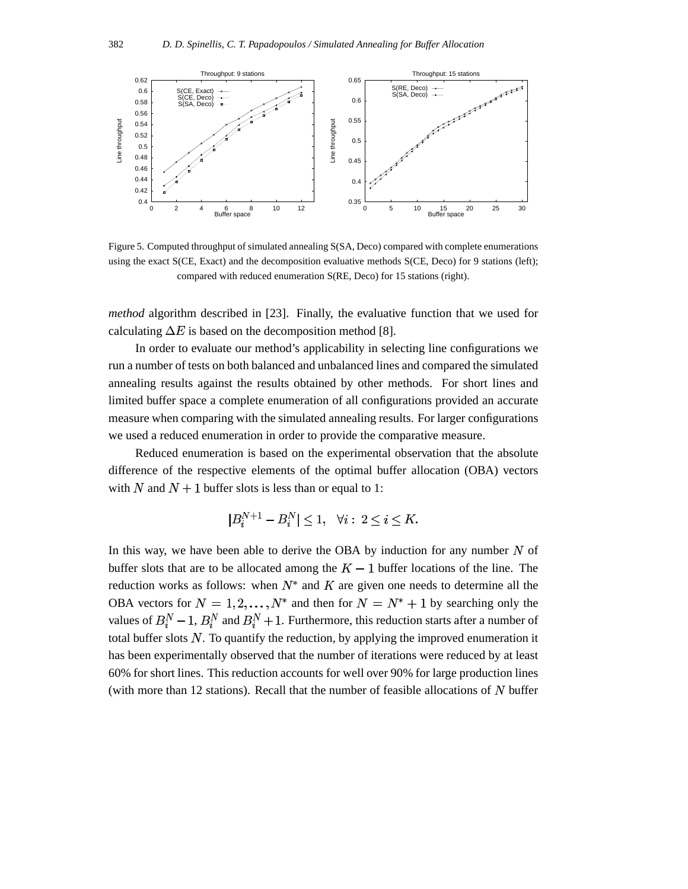

Figure 5. Computed throughput of simulated annealing S(SA, Deco) compared with complete enumerations using the exact S(CE, Exact) and the decomposition evaluative methods S(CE, Deco) for 9 stations (left); compared with reduced enumeration S(RE, Deco) for 15 stations (right).

*method* algorithm described in [23]. Finally, the evaluative function that we used for calculating  $\Delta E$  is based on the decomposition method [8].

In order to evaluate our method's applicability in selecting line configurations we run a number of tests on both balanced and unbalanced lines and compared the simulated annealing results against the results obtained by other methods. For short lines and limited buffer space a complete enumeration of all configurations provided an accurate measure when comparing with the simulated annealing results. For larger configurations we used a reduced enumeration in order to provide the comparative measure.

Reduced enumeration is based on the experimental observation that the absolute difference of the respective elements of the optimal buffer allocation (OBA) vectors with N and  $N + 1$  buffer slots is less than or equal to 1:

$$
|B_i^{N+1} - B_i^N| \le 1, \quad \forall i: \ 2 \le i \le K.
$$

In this way, we have been able to derive the OBA by induction for any number  $N$  of buffer slots that are to be allocated among the  $K-1$  buffer locations of the line. The reduction works as follows: when  $N^*$  and K are given one needs to determine all the OBA vectors for  $N = 1, 2, ..., N^*$  and then for  $N = N^* + 1$  by searching only the values of  $B_i^N - 1$ ,  $B_i^N$  and  $B_i^N + 1$ . Furthermore, this reduction starts after a number of total buffer slots  $N$ . To quantify the reduction, by applying the improved enumeration it has been experimentally observed that the number of iterations were reduced by at least 60% for short lines. This reduction accounts for well over 90% for large production lines (with more than 12 stations). Recall that the number of feasible allocations of  $N$  buffer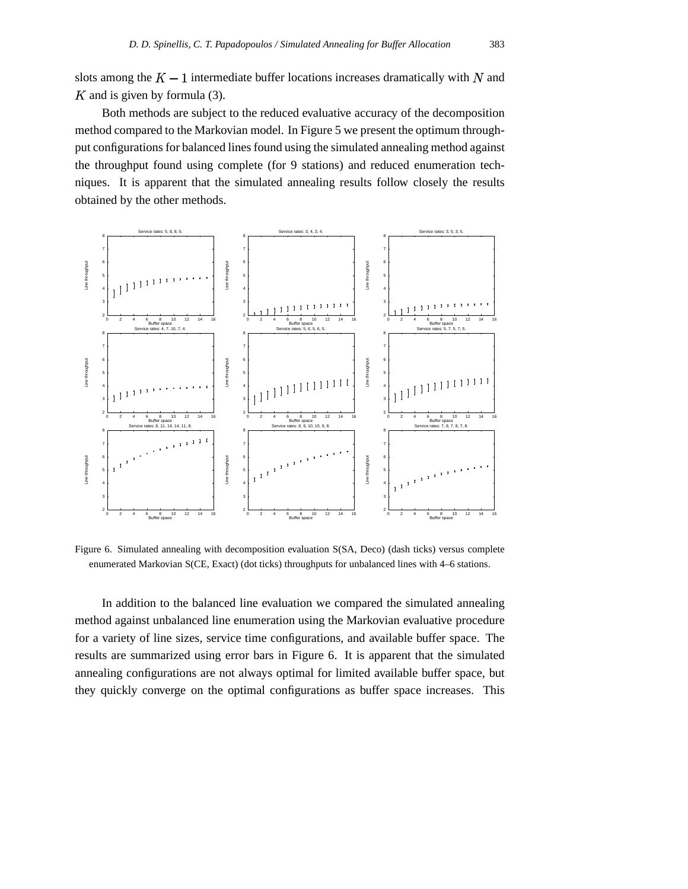slots among the  $K-1$  intermediate buffer locations increases dramatically with N and  $K$  and is given by formula (3).

Both methods are subject to the reduced evaluative accuracy of the decomposition method compared to the Markovian model. In Figure 5 we present the optimum throughput configurations for balanced lines found using the simulated annealing method against the throughput found using complete (for 9 stations) and reduced enumeration techniques. It is apparent that the simulated annealing results follow closely the results obtained by the other methods.



Figure 6. Simulated annealing with decomposition evaluation S(SA, Deco) (dash ticks) versus complete enumerated Markovian S(CE, Exact) (dot ticks) throughputs for unbalanced lines with 4–6 stations.

In addition to the balanced line evaluation we compared the simulated annealing method against unbalanced line enumeration using the Markovian evaluative procedure for a variety of line sizes, service time configurations, and available buffer space. The results are summarized using error bars in Figure 6. It is apparent that the simulated annealing configurations are not always optimal for limited available buffer space, but they quickly converge on the optimal configurations as buffer space increases. This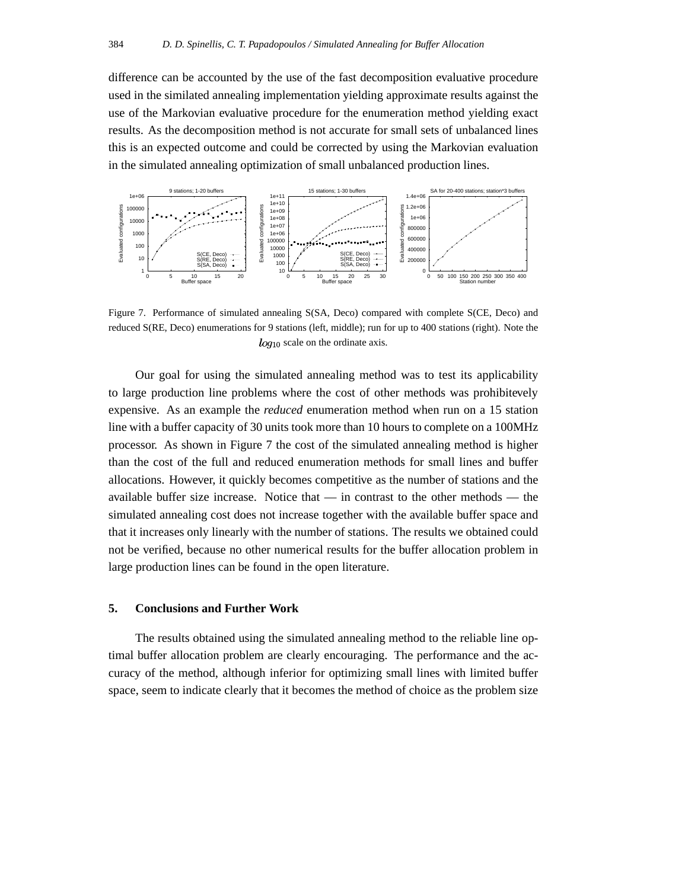difference can be accounted by the use of the fast decomposition evaluative procedure used in the similated annealing implementation yielding approximate results against the use of the Markovian evaluative procedure for the enumeration method yielding exact results. As the decomposition method is not accurate for small sets of unbalanced lines this is an expected outcome and could be corrected by using the Markovian evaluation in the simulated annealing optimization of small unbalanced production lines.



Figure 7. Performance of simulated annealing S(SA, Deco) compared with complete S(CE, Deco) and reduced S(RE, Deco) enumerations for 9 stations (left, middle); run for up to 400 stations (right). Note the  $log_{10}$  scale on the ordinate axis.

Our goal for using the simulated annealing method was to test its applicability to large production line problems where the cost of other methods was prohibitevely expensive. As an example the *reduced* enumeration method when run on a 15 station line with a buffer capacity of 30 units took more than 10 hours to complete on a 100MHz processor. As shown in Figure 7 the cost of the simulated annealing method is higher than the cost of the full and reduced enumeration methods for small lines and buffer allocations. However, it quickly becomes competitive as the number of stations and the available buffer size increase. Notice that — in contrast to the other methods — the simulated annealing cost does not increase together with the available buffer space and that it increases only linearly with the number of stations. The results we obtained could not be verified, because no other numerical results for the buffer allocation problem in large production lines can be found in the open literature.

## **5. Conclusions and Further Work**

The results obtained using the simulated annealing method to the reliable line optimal buffer allocation problem are clearly encouraging. The performance and the accuracy of the method, although inferior for optimizing small lines with limited buffer space, seem to indicate clearly that it becomes the method of choice as the problem size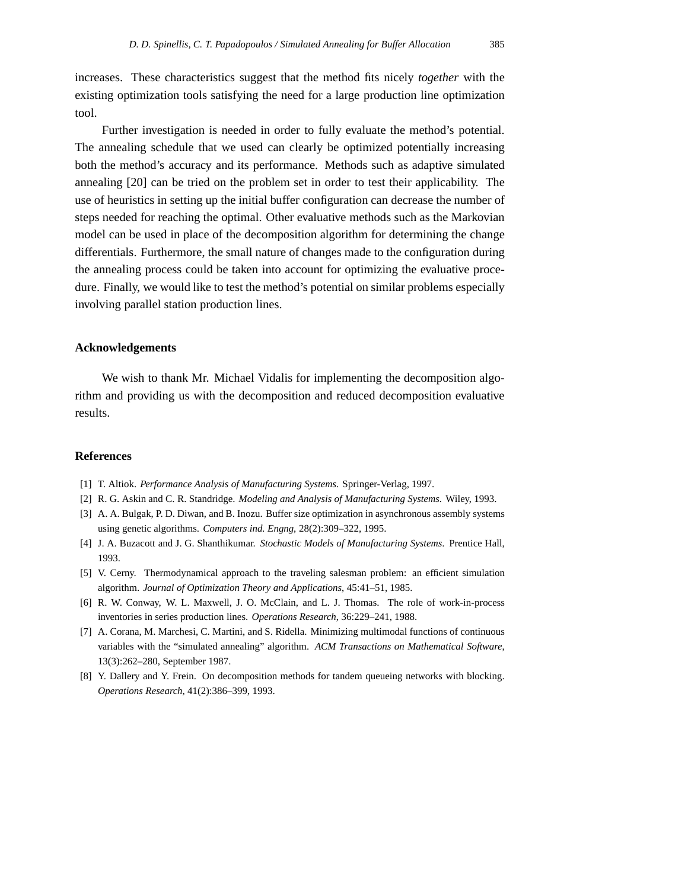increases. These characteristics suggest that the method fits nicely *together* with the existing optimization tools satisfying the need for a large production line optimization tool.

Further investigation is needed in order to fully evaluate the method's potential. The annealing schedule that we used can clearly be optimized potentially increasing both the method's accuracy and its performance. Methods such as adaptive simulated annealing [20] can be tried on the problem set in order to test their applicability. The use of heuristics in setting up the initial buffer configuration can decrease the number of steps needed for reaching the optimal. Other evaluative methods such as the Markovian model can be used in place of the decomposition algorithm for determining the change differentials. Furthermore, the small nature of changes made to the configuration during the annealing process could be taken into account for optimizing the evaluative procedure. Finally, we would like to test the method's potential on similar problems especially involving parallel station production lines.

## **Acknowledgements**

We wish to thank Mr. Michael Vidalis for implementing the decomposition algorithm and providing us with the decomposition and reduced decomposition evaluative results.

## **References**

- [1] T. Altiok. *Performance Analysis of Manufacturing Systems*. Springer-Verlag, 1997.
- [2] R. G. Askin and C. R. Standridge. *Modeling and Analysis of Manufacturing Systems*. Wiley, 1993.
- [3] A. A. Bulgak, P. D. Diwan, and B. Inozu. Buffer size optimization in asynchronous assembly systems using genetic algorithms. *Computers ind. Engng*, 28(2):309–322, 1995.
- [4] J. A. Buzacott and J. G. Shanthikumar. *Stochastic Models of Manufacturing Systems*. Prentice Hall, 1993.
- [5] V. Cerny. Thermodynamical approach to the traveling salesman problem: an efficient simulation algorithm. *Journal of Optimization Theory and Applications*, 45:41–51, 1985.
- [6] R. W. Conway, W. L. Maxwell, J. O. McClain, and L. J. Thomas. The role of work-in-process inventories in series production lines. *Operations Research*, 36:229–241, 1988.
- [7] A. Corana, M. Marchesi, C. Martini, and S. Ridella. Minimizing multimodal functions of continuous variables with the "simulated annealing" algorithm. *ACM Transactions on Mathematical Software*, 13(3):262–280, September 1987.
- [8] Y. Dallery and Y. Frein. On decomposition methods for tandem queueing networks with blocking. *Operations Research*, 41(2):386–399, 1993.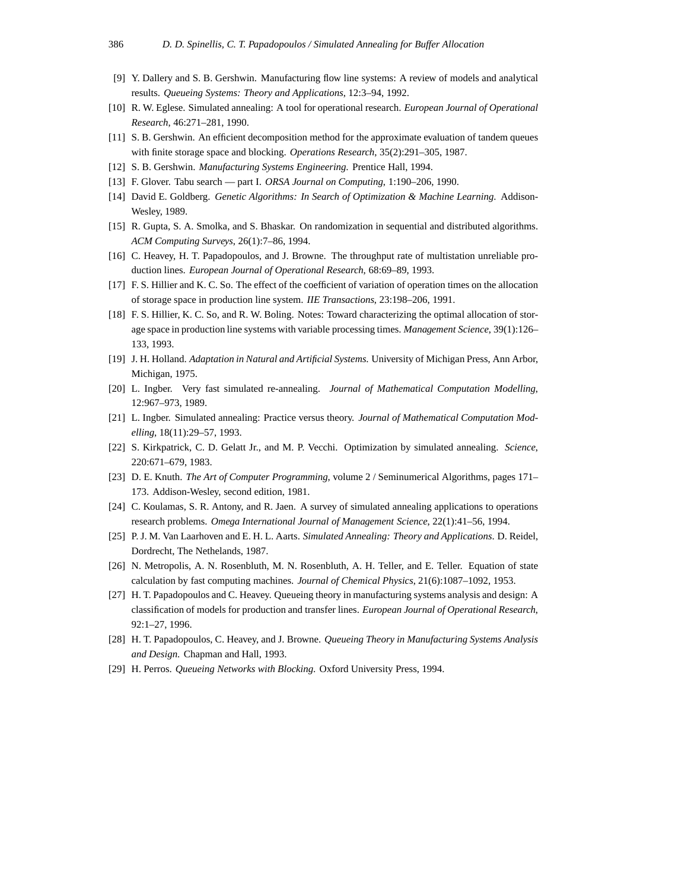- [9] Y. Dallery and S. B. Gershwin. Manufacturing flow line systems: A review of models and analytical results. *Queueing Systems: Theory and Applications*, 12:3–94, 1992.
- [10] R. W. Eglese. Simulated annealing: A tool for operational research. *European Journal of Operational Research*, 46:271–281, 1990.
- [11] S. B. Gershwin. An efficient decomposition method for the approximate evaluation of tandem queues with finite storage space and blocking. *Operations Research*, 35(2):291–305, 1987.
- [12] S. B. Gershwin. *Manufacturing Systems Engineering*. Prentice Hall, 1994.
- [13] F. Glover. Tabu search part I. *ORSA Journal on Computing*, 1:190–206, 1990.
- [14] David E. Goldberg. *Genetic Algorithms: In Search of Optimization & Machine Learning*. Addison-Wesley, 1989.
- [15] R. Gupta, S. A. Smolka, and S. Bhaskar. On randomization in sequential and distributed algorithms. *ACM Computing Surveys*, 26(1):7–86, 1994.
- [16] C. Heavey, H. T. Papadopoulos, and J. Browne. The throughput rate of multistation unreliable production lines. *European Journal of Operational Research*, 68:69–89, 1993.
- [17] F. S. Hillier and K. C. So. The effect of the coefficient of variation of operation times on the allocation of storage space in production line system. *IIE Transactions*, 23:198–206, 1991.
- [18] F. S. Hillier, K. C. So, and R. W. Boling. Notes: Toward characterizing the optimal allocation of storage space in production line systems with variable processing times. *Management Science*, 39(1):126– 133, 1993.
- [19] J. H. Holland. *Adaptation in Natural and Artificial Systems*. University of Michigan Press, Ann Arbor, Michigan, 1975.
- [20] L. Ingber. Very fast simulated re-annealing. *Journal of Mathematical Computation Modelling*, 12:967–973, 1989.
- [21] L. Ingber. Simulated annealing: Practice versus theory. *Journal of Mathematical Computation Modelling*, 18(11):29–57, 1993.
- [22] S. Kirkpatrick, C. D. Gelatt Jr., and M. P. Vecchi. Optimization by simulated annealing. *Science*, 220:671–679, 1983.
- [23] D. E. Knuth. *The Art of Computer Programming*, volume 2 / Seminumerical Algorithms, pages 171– 173. Addison-Wesley, second edition, 1981.
- [24] C. Koulamas, S. R. Antony, and R. Jaen. A survey of simulated annealing applications to operations research problems. *Omega International Journal of Management Science*, 22(1):41–56, 1994.
- [25] P. J. M. Van Laarhoven and E. H. L. Aarts. *Simulated Annealing: Theory and Applications*. D. Reidel, Dordrecht, The Nethelands, 1987.
- [26] N. Metropolis, A. N. Rosenbluth, M. N. Rosenbluth, A. H. Teller, and E. Teller. Equation of state calculation by fast computing machines. *Journal of Chemical Physics*, 21(6):1087–1092, 1953.
- [27] H. T. Papadopoulos and C. Heavey. Queueing theory in manufacturing systems analysis and design: A classification of models for production and transfer lines. *European Journal of Operational Research*, 92:1–27, 1996.
- [28] H. T. Papadopoulos, C. Heavey, and J. Browne. *Queueing Theory in Manufacturing Systems Analysis and Design*. Chapman and Hall, 1993.
- [29] H. Perros. *Queueing Networks with Blocking*. Oxford University Press, 1994.